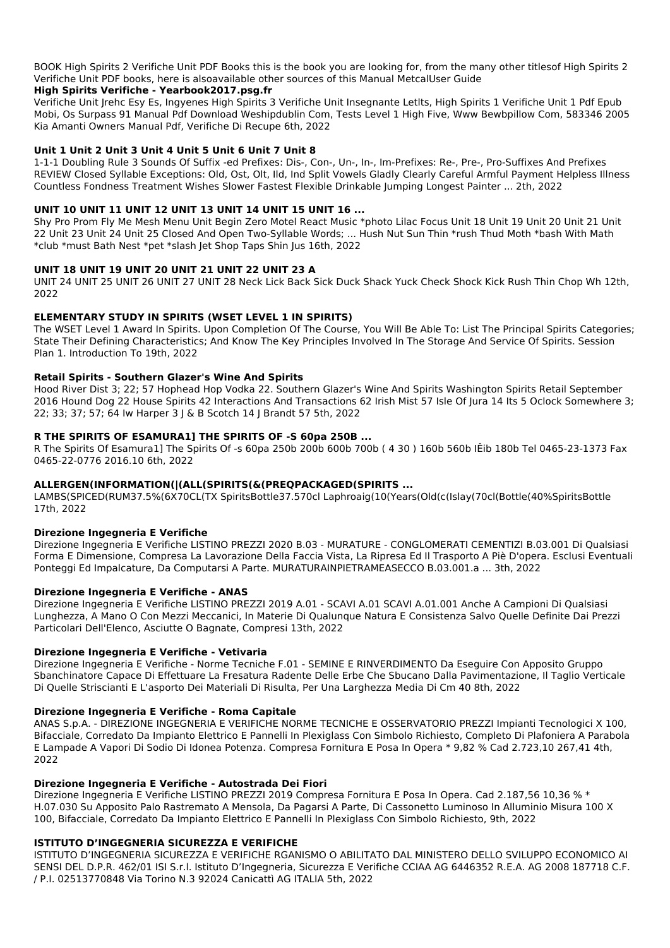BOOK High Spirits 2 Verifiche Unit PDF Books this is the book you are looking for, from the many other titlesof High Spirits 2 Verifiche Unit PDF books, here is alsoavailable other sources of this Manual MetcalUser Guide

## High Spirits Verifiche - Yearbook2017.psg.fr

Verifiche Unit Jrehc Esy Es, Ingyenes High Spirits 3 Verifiche Unit Insegnante Letlts, High Spirits 1 Verifiche Unit 1 Pdf Epub Mobi, Os Surpass 91 Manual Pdf Download Weshipdublin Com, Tests Level 1 High Five, Www Bewbpillow Com, 583346 2005 Kia Amanti Owners Manual Pdf, Verifiche Di Recupe 6th, 2022

# Unit 1 Unit 2 Unit 3 Unit 4 Unit 5 Unit 6 Unit 7 Unit 8

1-1-1 Doubling Rule 3 Sounds Of Suffix -ed Prefixes: Dis-, Con-, Un-, In-, Im-Prefixes: Re-, Pre-, Pro-Suffixes And Prefixes REVIEW Closed Syllable Exceptions: Old, Ost, Olt, Ild, Ind Split Vowels Gladly Clearly Careful Armful Payment Helpless Illness Countless Fondness Treatment Wishes Slower Fastest Flexible Drinkable Jumping Longest Painter ... 2th, 2022

# UNIT 10 UNIT 11 UNIT 12 UNIT 13 UNIT 14 UNIT 15 UNIT 16 ...

Shy Pro Prom Fly Me Mesh Menu Unit Begin Zero Motel React Music \*photo Lilac Focus Unit 18 Unit 19 Unit 20 Unit 21 Unit 22 Unit 23 Unit 24 Unit 25 Closed And Open Two-Syllable Words; ... Hush Nut Sun Thin \*rush Thud Moth \*bash With Math \*club \*must Bath Nest \*pet \*slash Jet Shop Taps Shin Jus 16th, 2022

# UNIT 18 UNIT 19 UNIT 20 UNIT 21 UNIT 22 UNIT 23 A

UNIT 24 UNIT 25 UNIT 26 UNIT 27 UNIT 28 Neck Lick Back Sick Duck Shack Yuck Check Shock Kick Rush Thin Chop Wh 12th, 2022

# ELEMENTARY STUDY IN SPIRITS (WSET LEVEL 1 IN SPIRITS)

The WSET Level 1 Award In Spirits. Upon Completion Of The Course, You Will Be Able To: List The Principal Spirits Categories; State Their Defining Characteristics; And Know The Key Principles Involved In The Storage And Service Of Spirits. Session Plan 1. Introduction To 19th, 2022

# **Retail Spirits - Southern Glazer's Wine And Spirits**

Hood River Dist 3; 22; 57 Hophead Hop Vodka 22. Southern Glazer's Wine And Spirits Washington Spirits Retail September 2016 Hound Dog 22 House Spirits 42 Interactions And Transactions 62 Irish Mist 57 Isle Of Jura 14 Its 5 Oclock Somewhere 3; 22; 33; 37; 57; 64 Iw Harper 3 | & B Scotch 14 | Brandt 57 5th, 2022

# R THE SPIRITS OF ESAMURA1] THE SPIRITS OF -S 60pa 250B ...

R The Spirits Of Esamura1] The Spirits Of -s 60pa 250b 200b 600b 700b (430) 160b 560b IÊib 180b Tel 0465-23-1373 Fax 0465-22-0776 2016.10 6th, 2022

# ALLERGEN(INFORMATION(|(ALL(SPIRITS(&(PREQPACKAGED(SPIRITS ...

LAMBS(SPICED(RUM37.5%(6X70CL(TX SpiritsBottle37.570cl Laphroaig(10(Years(Old(c(Islay(70cl(Bottle(40%SpiritsBottle 17th, 2022

# **Direzione Ingegneria E Verifiche**

Direzione Ingegneria E Verifiche LISTINO PREZZI 2020 B.03 - MURATURE - CONGLOMERATI CEMENTIZI B.03.001 Di Qualsiasi Forma E Dimensione, Compresa La Lavorazione Della Faccia Vista, La Ripresa Ed Il Trasporto A Piè D'opera. Esclusi Eventuali Ponteggi Ed Impalcature, Da Computarsi A Parte. MURATURAINPIETRAMEASECCO B.03.001.a ... 3th, 2022

# **Direzione Ingegneria E Verifiche - ANAS**

Direzione Ingegneria E Verifiche LISTINO PREZZI 2019 A.01 - SCAVI A.01 SCAVI A.01.001 Anche A Campioni Di Qualsiasi Lunghezza, A Mano O Con Mezzi Meccanici, In Materie Di Qualunque Natura E Consistenza Salvo Quelle Definite Dai Prezzi Particolari Dell'Elenco, Asciutte O Bagnate, Compresi 13th, 2022

# Direzione Ingegneria E Verifiche - Vetivaria

Direzione Ingegneria E Verifiche - Norme Tecniche F.01 - SEMINE E RINVERDIMENTO Da Eseguire Con Apposito Gruppo Sbanchinatore Capace Di Effettuare La Fresatura Radente Delle Erbe Che Sbucano Dalla Pavimentazione, Il Taglio Verticale Di Quelle Striscianti E L'asporto Dei Materiali Di Risulta, Per Una Larghezza Media Di Cm 40 8th, 2022

## Direzione Ingegneria E Verifiche - Roma Capitale

ANAS S.p.A. - DIREZIONE INGEGNERIA E VERIFICHE NORME TECNICHE E OSSERVATORIO PREZZI Impianti Tecnologici X 100, Bifacciale, Corredato Da Impianto Elettrico E Pannelli In Plexiglass Con Simbolo Richiesto, Completo Di Plafoniera A Parabola E Lampade A Vapori Di Sodio Di Idonea Potenza. Compresa Fornitura E Posa In Opera \* 9,82 % Cad 2.723,10 267,41 4th, 2022

#### Direzione Ingegneria E Verifiche - Autostrada Dei Fiori

Direzione Ingegneria E Verifiche LISTINO PREZZI 2019 Compresa Fornitura E Posa In Opera. Cad 2.187,56 10,36 % \* H.07.030 Su Apposito Palo Rastremato A Mensola, Da Pagarsi A Parte, Di Cassonetto Luminoso In Alluminio Misura 100 X 100, Bifacciale, Corredato Da Impianto Elettrico E Pannelli In Plexiglass Con Simbolo Richiesto, 9th, 2022

#### ISTITUTO D'INGEGNERIA SICUREZZA E VERIFICHE

ISTITUTO D'INGEGNERIA SICUREZZA E VERIFICHE RGANISMO O ABILITATO DAL MINISTERO DELLO SVILUPPO ECONOMICO AI SENSI DEL D.P.R. 462/01 ISI S.r.l. Istituto D'Ingegneria, Sicurezza E Verifiche CCIAA AG 6446352 R.E.A. AG 2008 187718 C.F. / P.I. 02513770848 Via Torino N.3 92024 Canicattì AG ITALIA 5th, 2022